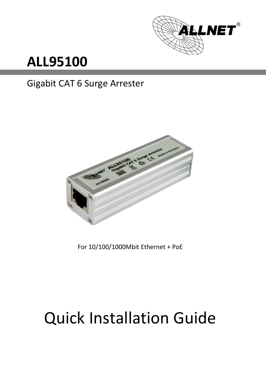

## **ALL95100**

#### Gigabit CAT 6 Surge Arrester



For 10/100/1000Mbit Ethernet + PoE

# Quick Installation Guide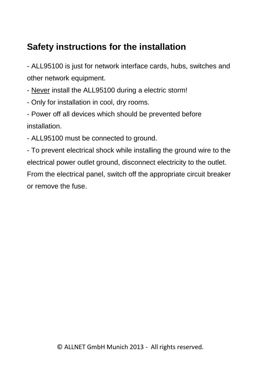#### **Safety instructions for the installation**

- ALL95100 is just for network interface cards, hubs, switches and other network equipment.

- Never install the ALL95100 during a electric storm!

- Only for installation in cool, dry rooms.
- Power off all devices which should be prevented before installation.
- ALL95100 must be connected to ground.

- To prevent electrical shock while installing the ground wire to the electrical power outlet ground, disconnect electricity to the outlet. From the electrical panel, switch off the appropriate circuit breaker or remove the fuse.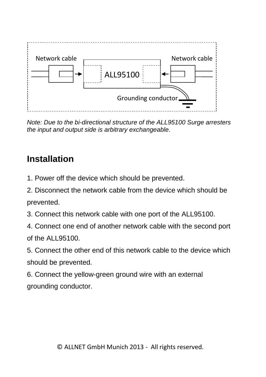

*Note: Due to the bi-directional structure of the ALL95100 Surge arresters the input and output side is arbitrary exchangeable.*

#### **Installation**

- 1. Power off the device which should be prevented.
- 2. Disconnect the network cable from the device which should be prevented.
- 3. Connect this network cable with one port of the ALL95100.
- 4. Connect one end of another network cable with the second port of the ALL95100.
- 5. Connect the other end of this network cable to the device which should be prevented.
- 6. Connect the yellow-green ground wire with an external grounding conductor.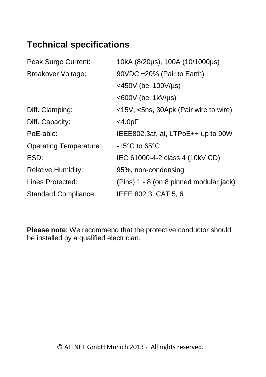#### **Technical specifications**

| Peak Surge Current:           | 10kA (8/20µs), 100A (10/1000µs)         |
|-------------------------------|-----------------------------------------|
| Breakover Voltage:            | 90VDC ±20% (Pair to Earth)              |
|                               | $<$ 450V (bei 100V/µs)                  |
|                               | <600V (bei 1kV/µs)                      |
| Diff. Clamping:               | <15V, <5ns, 30Apk (Pair wire to wire)   |
| Diff. Capacity:               | $<$ 4.0pF                               |
| PoE-able:                     | IEEE802.3af, at, LTPoE++ up to 90W      |
| <b>Operating Temperature:</b> | $-15^{\circ}$ C to 65 $^{\circ}$ C      |
| ESD:                          | IEC 61000-4-2 class 4 (10kV CD)         |
| <b>Relative Humidity:</b>     | 95%, non-condensing                     |
| Lines Protected:              | (Pins) 1 - 8 (on 8 pinned modular jack) |
| <b>Standard Compliance:</b>   | IEEE 802.3, CAT 5, 6                    |

**Please note**: We recommend that the protective conductor should be installed by a qualified electrician.